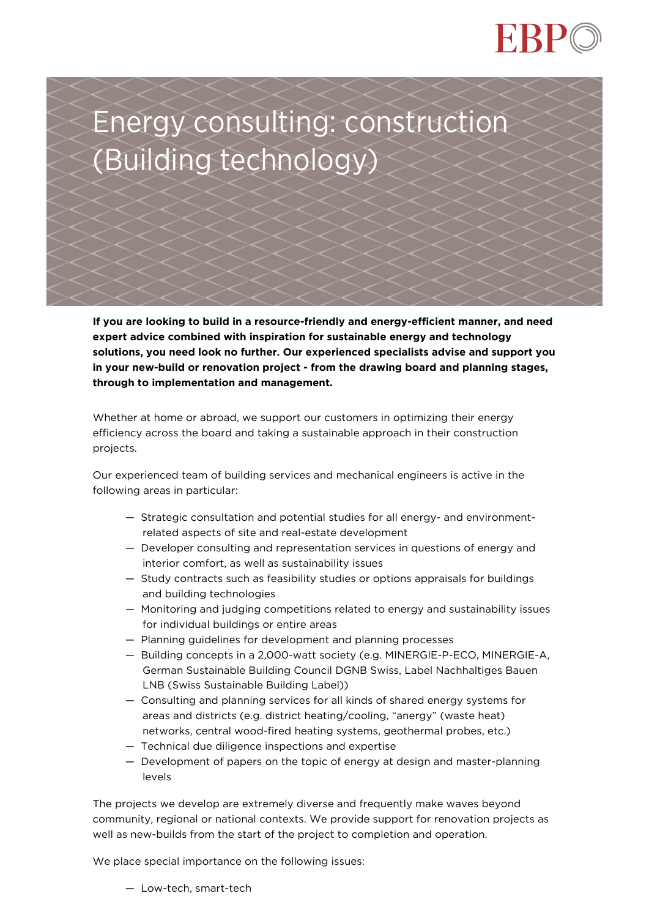

**If you are looking to build in a resource-friendly and energy-efficient manner, and need expert advice combined with inspiration for sustainable energy and technology solutions, you need look no further. Our experienced specialists advise and support you in your new-build or renovation project - from the drawing board and planning stages, through to implementation and management.**

Whether at home or abroad, we support our customers in optimizing their energy efficiency across the board and taking a sustainable approach in their construction projects.

Our experienced team of building services and mechanical engineers is active in the following areas in particular:

- Strategic consultation and potential studies for all energy- and environmentrelated aspects of site and real-estate development
- Developer consulting and representation services in questions of energy and interior comfort, as well as sustainability issues
- Study contracts such as feasibility studies or options appraisals for buildings and building technologies
- Monitoring and judging competitions related to energy and sustainability issues for individual buildings or entire areas
- Planning guidelines for development and planning processes
- Building concepts in a 2,000-watt society (e.g. MINERGIE-P-ECO, MINERGIE-A, German Sustainable Building Council DGNB Swiss, Label Nachhaltiges Bauen LNB (Swiss Sustainable Building Label))
- Consulting and planning services for all kinds of shared energy systems for areas and districts (e.g. district heating/cooling, "anergy" (waste heat) networks, central wood-fired heating systems, geothermal probes, etc.)
- Technical due diligence inspections and expertise
- Development of papers on the topic of energy at design and master-planning levels

The projects we develop are extremely diverse and frequently make waves beyond community, regional or national contexts. We provide support for renovation projects as well as new-builds from the start of the project to completion and operation.

We place special importance on the following issues:

— Low-tech, smart-tech